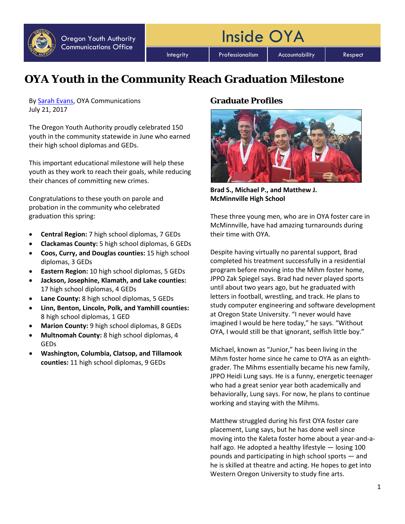

Integrity | Professionalism | Accountability | Respect

Inside OYA

# **OYA Youth in the Community Reach Graduation Milestone**

By [Sarah Evans,](mailto:sarah.j.evans@oya.state.or.us) OYA Communications July 21, 2017

The Oregon Youth Authority proudly celebrated 150 youth in the community statewide in June who earned their high school diplomas and GEDs.

This important educational milestone will help these youth as they work to reach their goals, while reducing their chances of committing new crimes.

Congratulations to these youth on parole and probation in the community who celebrated graduation this spring:

- **Central Region:** 7 high school diplomas, 7 GEDs
- **Clackamas County:** 5 high school diplomas, 6 GEDs
- **Coos, Curry, and Douglas counties:** 15 high school diplomas, 3 GEDs
- **Eastern Region:** 10 high school diplomas, 5 GEDs
- **Jackson, Josephine, Klamath, and Lake counties:** 17 high school diplomas, 4 GEDs
- **Lane County:** 8 high school diplomas, 5 GEDs
- **Linn, Benton, Lincoln, Polk, and Yamhill counties:** 8 high school diplomas, 1 GED
- **Marion County:** 9 high school diplomas, 8 GEDs
- **Multnomah County:** 8 high school diplomas, 4 GEDs
- **Washington, Columbia, Clatsop, and Tillamook counties:** 11 high school diplomas, 9 GEDs

## **Graduate Profiles**



**Brad S., Michael P., and Matthew J. McMinnville High School**

These three young men, who are in OYA foster care in McMinnville, have had amazing turnarounds during their time with OYA.

Despite having virtually no parental support, Brad completed his treatment successfully in a residential program before moving into the Mihm foster home, JPPO Zak Spiegel says. Brad had never played sports until about two years ago, but he graduated with letters in football, wrestling, and track. He plans to study computer engineering and software development at Oregon State University. "I never would have imagined I would be here today," he says. "Without OYA, I would still be that ignorant, selfish little boy."

Michael, known as "Junior," has been living in the Mihm foster home since he came to OYA as an eighthgrader. The Mihms essentially became his new family, JPPO Heidi Lung says. He is a funny, energetic teenager who had a great senior year both academically and behaviorally, Lung says. For now, he plans to continue working and staying with the Mihms.

Matthew struggled during his first OYA foster care placement, Lung says, but he has done well since moving into the Kaleta foster home about a year-and-ahalf ago. He adopted a healthy lifestyle — losing 100 pounds and participating in high school sports — and he is skilled at theatre and acting. He hopes to get into Western Oregon University to study fine arts.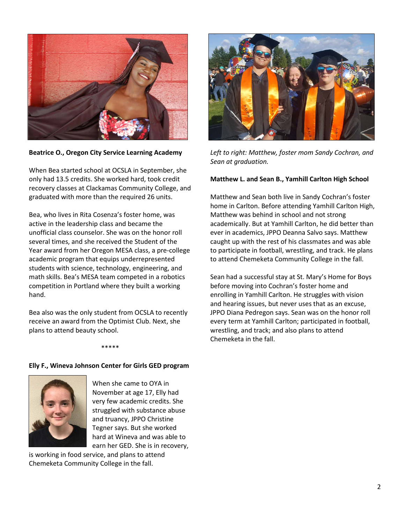

**Beatrice O., Oregon City Service Learning Academy**

When Bea started school at OCSLA in September, she only had 13.5 credits. She worked hard, took credit recovery classes at Clackamas Community College, and graduated with more than the required 26 units.

Bea, who lives in Rita Cosenza's foster home, was active in the leadership class and became the unofficial class counselor. She was on the honor roll several times, and she received the Student of the Year award from her Oregon MESA class, a pre-college academic program that equips underrepresented students with science, technology, engineering, and math skills. Bea's MESA team competed in a robotics competition in Portland where they built a working hand.

Bea also was the only student from OCSLA to recently receive an award from the Optimist Club. Next, she plans to attend beauty school.



*Left to right: Matthew, foster mom Sandy Cochran, and Sean at graduation.*

## **Matthew L. and Sean B., Yamhill Carlton High School**

Matthew and Sean both live in Sandy Cochran's foster home in Carlton. Before attending Yamhill Carlton High, Matthew was behind in school and not strong academically. But at Yamhill Carlton, he did better than ever in academics, JPPO Deanna Salvo says. Matthew caught up with the rest of his classmates and was able to participate in football, wrestling, and track. He plans to attend Chemeketa Community College in the fall.

Sean had a successful stay at St. Mary's Home for Boys before moving into Cochran's foster home and enrolling in Yamhill Carlton. He struggles with vision and hearing issues, but never uses that as an excuse, JPPO Diana Pedregon says. Sean was on the honor roll every term at Yamhill Carlton; participated in football, wrestling, and track; and also plans to attend Chemeketa in the fall.

#### \*\*\*\*\*

## **Elly F., Wineva Johnson Center for Girls GED program**



When she came to OYA in November at age 17, Elly had very few academic credits. She struggled with substance abuse and truancy, JPPO Christine Tegner says. But she worked hard at Wineva and was able to earn her GED. She is in recovery,

is working in food service, and plans to attend Chemeketa Community College in the fall.